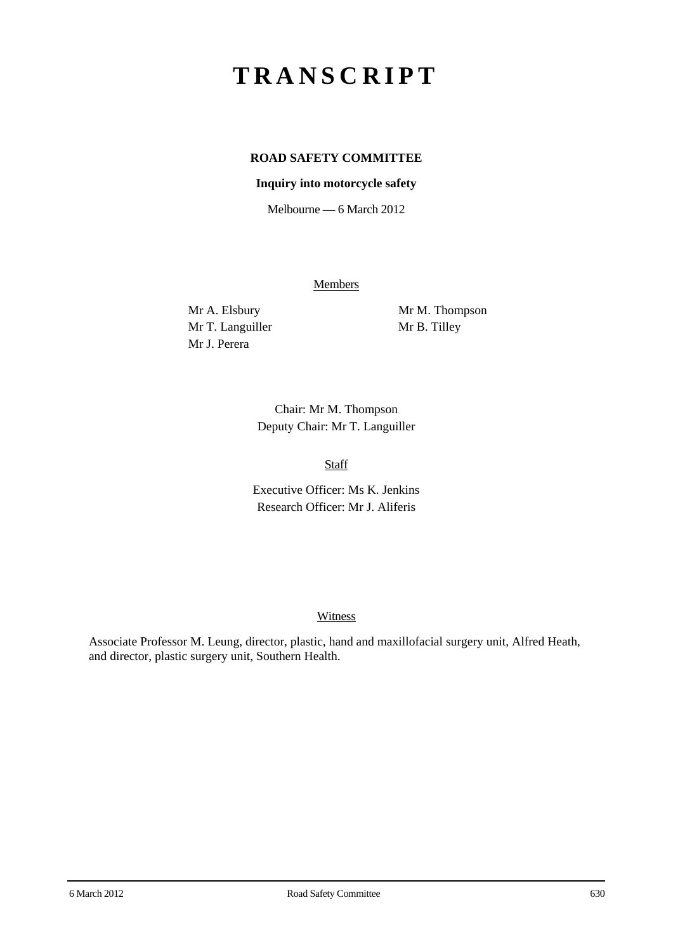# **TRANSCRIPT**

## **ROAD SAFETY COMMITTEE**

#### **Inquiry into motorcycle safety**

Melbourne — 6 March 2012

Members

Mr T. Languiller Mr B. Tilley Mr J. Perera

Mr A. Elsbury Mr M. Thompson

Chair: Mr M. Thompson Deputy Chair: Mr T. Languiller

Staff

Executive Officer: Ms K. Jenkins Research Officer: Mr J. Aliferis

#### **Witness**

Associate Professor M. Leung, director, plastic, hand and maxillofacial surgery unit, Alfred Heath, and director, plastic surgery unit, Southern Health.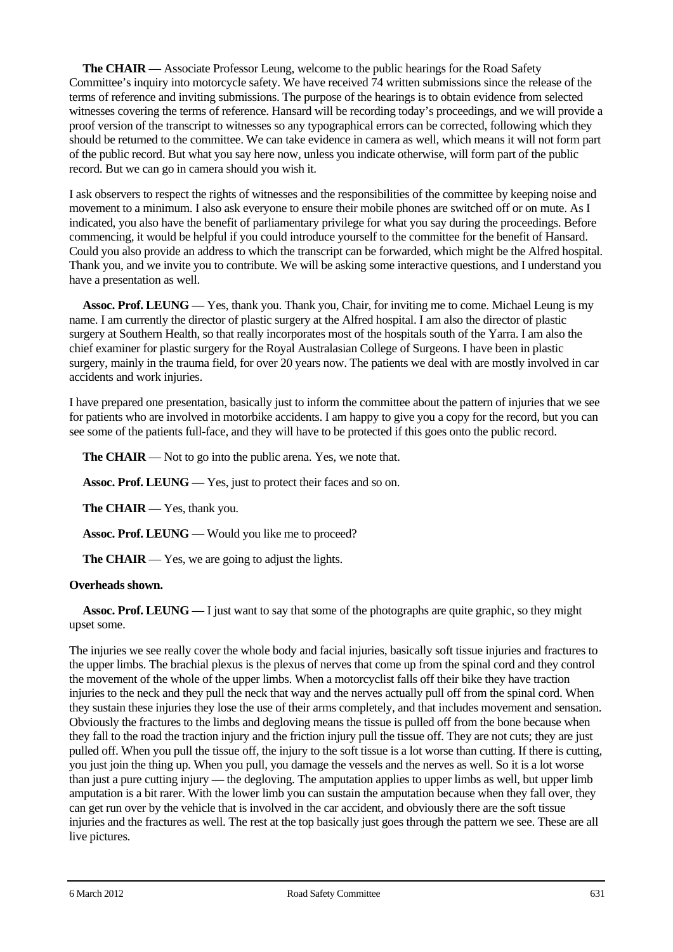**The CHAIR** — Associate Professor Leung, welcome to the public hearings for the Road Safety Committee's inquiry into motorcycle safety. We have received 74 written submissions since the release of the terms of reference and inviting submissions. The purpose of the hearings is to obtain evidence from selected witnesses covering the terms of reference. Hansard will be recording today's proceedings, and we will provide a proof version of the transcript to witnesses so any typographical errors can be corrected, following which they should be returned to the committee. We can take evidence in camera as well, which means it will not form part of the public record. But what you say here now, unless you indicate otherwise, will form part of the public record. But we can go in camera should you wish it.

I ask observers to respect the rights of witnesses and the responsibilities of the committee by keeping noise and movement to a minimum. I also ask everyone to ensure their mobile phones are switched off or on mute. As I indicated, you also have the benefit of parliamentary privilege for what you say during the proceedings. Before commencing, it would be helpful if you could introduce yourself to the committee for the benefit of Hansard. Could you also provide an address to which the transcript can be forwarded, which might be the Alfred hospital. Thank you, and we invite you to contribute. We will be asking some interactive questions, and I understand you have a presentation as well.

**Assoc. Prof. LEUNG** — Yes, thank you. Thank you, Chair, for inviting me to come. Michael Leung is my name. I am currently the director of plastic surgery at the Alfred hospital. I am also the director of plastic surgery at Southern Health, so that really incorporates most of the hospitals south of the Yarra. I am also the chief examiner for plastic surgery for the Royal Australasian College of Surgeons. I have been in plastic surgery, mainly in the trauma field, for over 20 years now. The patients we deal with are mostly involved in car accidents and work injuries.

I have prepared one presentation, basically just to inform the committee about the pattern of injuries that we see for patients who are involved in motorbike accidents. I am happy to give you a copy for the record, but you can see some of the patients full-face, and they will have to be protected if this goes onto the public record.

**The CHAIR** — Not to go into the public arena. Yes, we note that.

**Assoc. Prof. LEUNG** — Yes, just to protect their faces and so on.

**The CHAIR** — Yes, thank you.

**Assoc. Prof. LEUNG** — Would you like me to proceed?

**The CHAIR** — Yes, we are going to adjust the lights.

#### **Overheads shown.**

**Assoc. Prof. LEUNG** — I just want to say that some of the photographs are quite graphic, so they might upset some.

The injuries we see really cover the whole body and facial injuries, basically soft tissue injuries and fractures to the upper limbs. The brachial plexus is the plexus of nerves that come up from the spinal cord and they control the movement of the whole of the upper limbs. When a motorcyclist falls off their bike they have traction injuries to the neck and they pull the neck that way and the nerves actually pull off from the spinal cord. When they sustain these injuries they lose the use of their arms completely, and that includes movement and sensation. Obviously the fractures to the limbs and degloving means the tissue is pulled off from the bone because when they fall to the road the traction injury and the friction injury pull the tissue off. They are not cuts; they are just pulled off. When you pull the tissue off, the injury to the soft tissue is a lot worse than cutting. If there is cutting, you just join the thing up. When you pull, you damage the vessels and the nerves as well. So it is a lot worse than just a pure cutting injury — the degloving. The amputation applies to upper limbs as well, but upper limb amputation is a bit rarer. With the lower limb you can sustain the amputation because when they fall over, they can get run over by the vehicle that is involved in the car accident, and obviously there are the soft tissue injuries and the fractures as well. The rest at the top basically just goes through the pattern we see. These are all live pictures.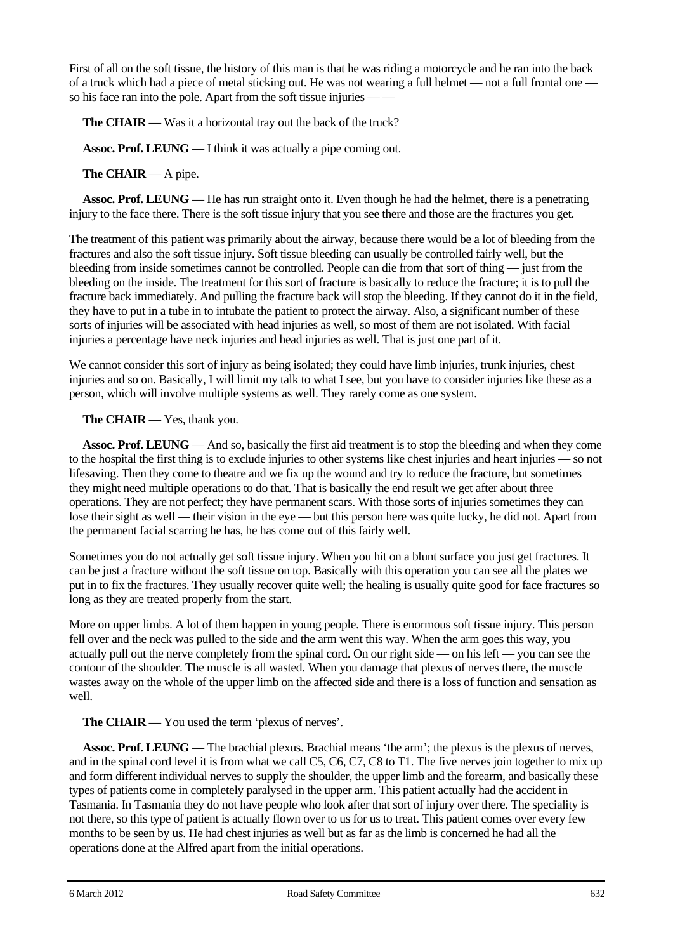First of all on the soft tissue, the history of this man is that he was riding a motorcycle and he ran into the back of a truck which had a piece of metal sticking out. He was not wearing a full helmet — not a full frontal one so his face ran into the pole. Apart from the soft tissue injuries — —

**The CHAIR** — Was it a horizontal tray out the back of the truck?

**Assoc. Prof. LEUNG** — I think it was actually a pipe coming out.

**The CHAIR** — A pipe.

**Assoc. Prof. LEUNG** — He has run straight onto it. Even though he had the helmet, there is a penetrating injury to the face there. There is the soft tissue injury that you see there and those are the fractures you get.

The treatment of this patient was primarily about the airway, because there would be a lot of bleeding from the fractures and also the soft tissue injury. Soft tissue bleeding can usually be controlled fairly well, but the bleeding from inside sometimes cannot be controlled. People can die from that sort of thing — just from the bleeding on the inside. The treatment for this sort of fracture is basically to reduce the fracture; it is to pull the fracture back immediately. And pulling the fracture back will stop the bleeding. If they cannot do it in the field, they have to put in a tube in to intubate the patient to protect the airway. Also, a significant number of these sorts of injuries will be associated with head injuries as well, so most of them are not isolated. With facial injuries a percentage have neck injuries and head injuries as well. That is just one part of it.

We cannot consider this sort of injury as being isolated; they could have limb injuries, trunk injuries, chest injuries and so on. Basically, I will limit my talk to what I see, but you have to consider injuries like these as a person, which will involve multiple systems as well. They rarely come as one system.

**The CHAIR** — Yes, thank you.

**Assoc. Prof. LEUNG** — And so, basically the first aid treatment is to stop the bleeding and when they come to the hospital the first thing is to exclude injuries to other systems like chest injuries and heart injuries — so not lifesaving. Then they come to theatre and we fix up the wound and try to reduce the fracture, but sometimes they might need multiple operations to do that. That is basically the end result we get after about three operations. They are not perfect; they have permanent scars. With those sorts of injuries sometimes they can lose their sight as well — their vision in the eye — but this person here was quite lucky, he did not. Apart from the permanent facial scarring he has, he has come out of this fairly well.

Sometimes you do not actually get soft tissue injury. When you hit on a blunt surface you just get fractures. It can be just a fracture without the soft tissue on top. Basically with this operation you can see all the plates we put in to fix the fractures. They usually recover quite well; the healing is usually quite good for face fractures so long as they are treated properly from the start.

More on upper limbs. A lot of them happen in young people. There is enormous soft tissue injury. This person fell over and the neck was pulled to the side and the arm went this way. When the arm goes this way, you actually pull out the nerve completely from the spinal cord. On our right side — on his left — you can see the contour of the shoulder. The muscle is all wasted. When you damage that plexus of nerves there, the muscle wastes away on the whole of the upper limb on the affected side and there is a loss of function and sensation as well.

**The CHAIR** — You used the term 'plexus of nerves'.

**Assoc. Prof. LEUNG** — The brachial plexus. Brachial means 'the arm'; the plexus is the plexus of nerves, and in the spinal cord level it is from what we call C5, C6, C7, C8 to T1. The five nerves join together to mix up and form different individual nerves to supply the shoulder, the upper limb and the forearm, and basically these types of patients come in completely paralysed in the upper arm. This patient actually had the accident in Tasmania. In Tasmania they do not have people who look after that sort of injury over there. The speciality is not there, so this type of patient is actually flown over to us for us to treat. This patient comes over every few months to be seen by us. He had chest injuries as well but as far as the limb is concerned he had all the operations done at the Alfred apart from the initial operations.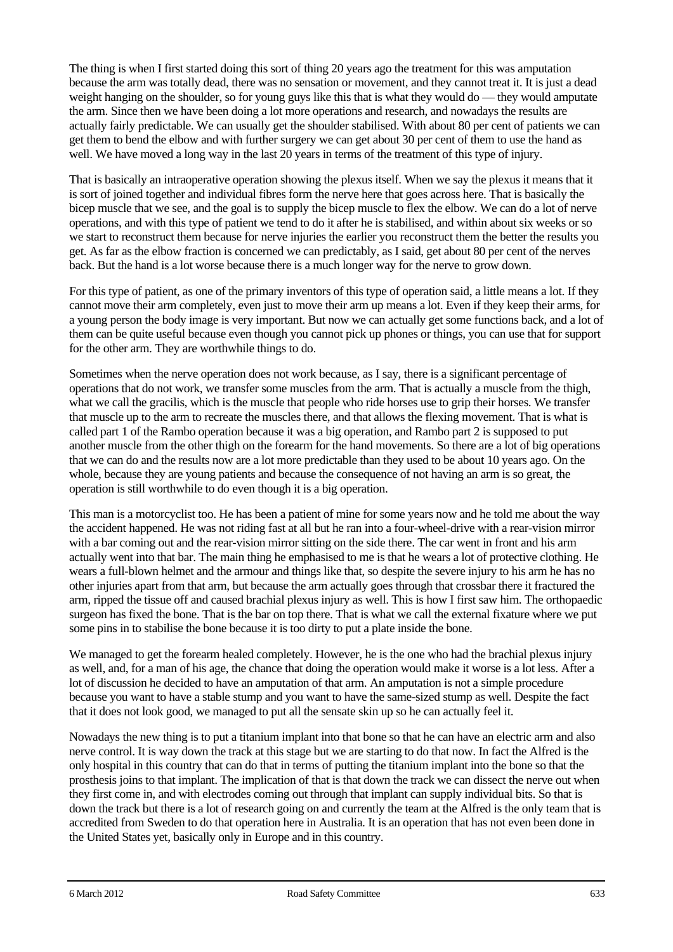The thing is when I first started doing this sort of thing 20 years ago the treatment for this was amputation because the arm was totally dead, there was no sensation or movement, and they cannot treat it. It is just a dead weight hanging on the shoulder, so for young guys like this that is what they would do — they would amputate the arm. Since then we have been doing a lot more operations and research, and nowadays the results are actually fairly predictable. We can usually get the shoulder stabilised. With about 80 per cent of patients we can get them to bend the elbow and with further surgery we can get about 30 per cent of them to use the hand as well. We have moved a long way in the last 20 years in terms of the treatment of this type of injury.

That is basically an intraoperative operation showing the plexus itself. When we say the plexus it means that it is sort of joined together and individual fibres form the nerve here that goes across here. That is basically the bicep muscle that we see, and the goal is to supply the bicep muscle to flex the elbow. We can do a lot of nerve operations, and with this type of patient we tend to do it after he is stabilised, and within about six weeks or so we start to reconstruct them because for nerve injuries the earlier you reconstruct them the better the results you get. As far as the elbow fraction is concerned we can predictably, as I said, get about 80 per cent of the nerves back. But the hand is a lot worse because there is a much longer way for the nerve to grow down.

For this type of patient, as one of the primary inventors of this type of operation said, a little means a lot. If they cannot move their arm completely, even just to move their arm up means a lot. Even if they keep their arms, for a young person the body image is very important. But now we can actually get some functions back, and a lot of them can be quite useful because even though you cannot pick up phones or things, you can use that for support for the other arm. They are worthwhile things to do.

Sometimes when the nerve operation does not work because, as I say, there is a significant percentage of operations that do not work, we transfer some muscles from the arm. That is actually a muscle from the thigh, what we call the gracilis, which is the muscle that people who ride horses use to grip their horses. We transfer that muscle up to the arm to recreate the muscles there, and that allows the flexing movement. That is what is called part 1 of the Rambo operation because it was a big operation, and Rambo part 2 is supposed to put another muscle from the other thigh on the forearm for the hand movements. So there are a lot of big operations that we can do and the results now are a lot more predictable than they used to be about 10 years ago. On the whole, because they are young patients and because the consequence of not having an arm is so great, the operation is still worthwhile to do even though it is a big operation.

This man is a motorcyclist too. He has been a patient of mine for some years now and he told me about the way the accident happened. He was not riding fast at all but he ran into a four-wheel-drive with a rear-vision mirror with a bar coming out and the rear-vision mirror sitting on the side there. The car went in front and his arm actually went into that bar. The main thing he emphasised to me is that he wears a lot of protective clothing. He wears a full-blown helmet and the armour and things like that, so despite the severe injury to his arm he has no other injuries apart from that arm, but because the arm actually goes through that crossbar there it fractured the arm, ripped the tissue off and caused brachial plexus injury as well. This is how I first saw him. The orthopaedic surgeon has fixed the bone. That is the bar on top there. That is what we call the external fixature where we put some pins in to stabilise the bone because it is too dirty to put a plate inside the bone.

We managed to get the forearm healed completely. However, he is the one who had the brachial plexus injury as well, and, for a man of his age, the chance that doing the operation would make it worse is a lot less. After a lot of discussion he decided to have an amputation of that arm. An amputation is not a simple procedure because you want to have a stable stump and you want to have the same-sized stump as well. Despite the fact that it does not look good, we managed to put all the sensate skin up so he can actually feel it.

Nowadays the new thing is to put a titanium implant into that bone so that he can have an electric arm and also nerve control. It is way down the track at this stage but we are starting to do that now. In fact the Alfred is the only hospital in this country that can do that in terms of putting the titanium implant into the bone so that the prosthesis joins to that implant. The implication of that is that down the track we can dissect the nerve out when they first come in, and with electrodes coming out through that implant can supply individual bits. So that is down the track but there is a lot of research going on and currently the team at the Alfred is the only team that is accredited from Sweden to do that operation here in Australia. It is an operation that has not even been done in the United States yet, basically only in Europe and in this country.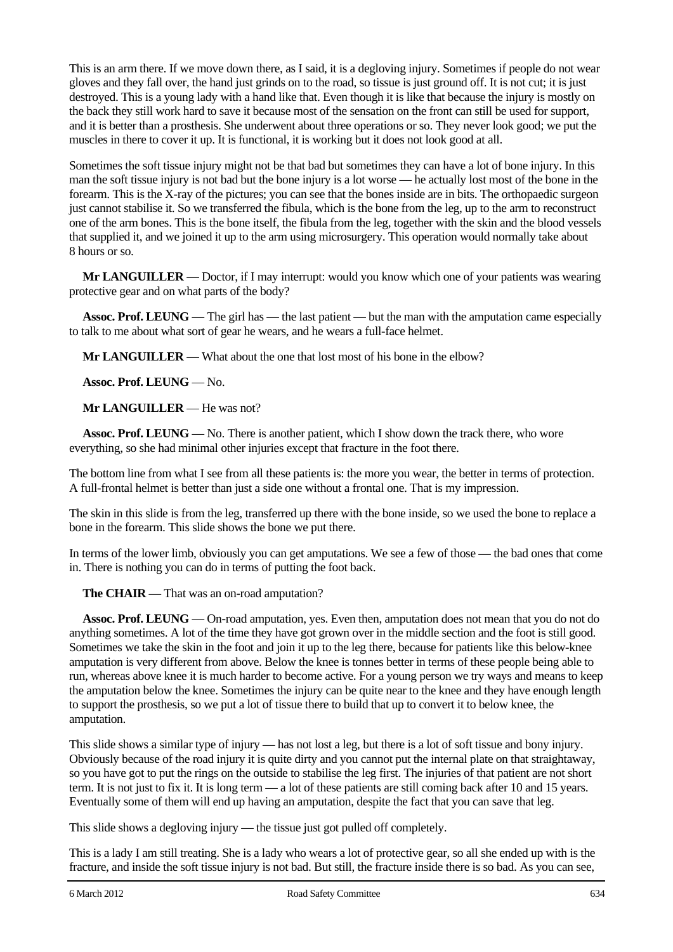This is an arm there. If we move down there, as I said, it is a degloving injury. Sometimes if people do not wear gloves and they fall over, the hand just grinds on to the road, so tissue is just ground off. It is not cut; it is just destroyed. This is a young lady with a hand like that. Even though it is like that because the injury is mostly on the back they still work hard to save it because most of the sensation on the front can still be used for support, and it is better than a prosthesis. She underwent about three operations or so. They never look good; we put the muscles in there to cover it up. It is functional, it is working but it does not look good at all.

Sometimes the soft tissue injury might not be that bad but sometimes they can have a lot of bone injury. In this man the soft tissue injury is not bad but the bone injury is a lot worse — he actually lost most of the bone in the forearm. This is the X-ray of the pictures; you can see that the bones inside are in bits. The orthopaedic surgeon just cannot stabilise it. So we transferred the fibula, which is the bone from the leg, up to the arm to reconstruct one of the arm bones. This is the bone itself, the fibula from the leg, together with the skin and the blood vessels that supplied it, and we joined it up to the arm using microsurgery. This operation would normally take about 8 hours or so.

**Mr LANGUILLER** — Doctor, if I may interrupt: would you know which one of your patients was wearing protective gear and on what parts of the body?

**Assoc. Prof. LEUNG** — The girl has — the last patient — but the man with the amputation came especially to talk to me about what sort of gear he wears, and he wears a full-face helmet.

**Mr LANGUILLER** — What about the one that lost most of his bone in the elbow?

**Assoc. Prof. LEUNG** — No.

**Mr LANGUILLER** — He was not?

**Assoc. Prof. LEUNG** — No. There is another patient, which I show down the track there, who wore everything, so she had minimal other injuries except that fracture in the foot there.

The bottom line from what I see from all these patients is: the more you wear, the better in terms of protection. A full-frontal helmet is better than just a side one without a frontal one. That is my impression.

The skin in this slide is from the leg, transferred up there with the bone inside, so we used the bone to replace a bone in the forearm. This slide shows the bone we put there.

In terms of the lower limb, obviously you can get amputations. We see a few of those — the bad ones that come in. There is nothing you can do in terms of putting the foot back.

**The CHAIR** — That was an on-road amputation?

**Assoc. Prof. LEUNG** — On-road amputation, yes. Even then, amputation does not mean that you do not do anything sometimes. A lot of the time they have got grown over in the middle section and the foot is still good. Sometimes we take the skin in the foot and join it up to the leg there, because for patients like this below-knee amputation is very different from above. Below the knee is tonnes better in terms of these people being able to run, whereas above knee it is much harder to become active. For a young person we try ways and means to keep the amputation below the knee. Sometimes the injury can be quite near to the knee and they have enough length to support the prosthesis, so we put a lot of tissue there to build that up to convert it to below knee, the amputation.

This slide shows a similar type of injury — has not lost a leg, but there is a lot of soft tissue and bony injury. Obviously because of the road injury it is quite dirty and you cannot put the internal plate on that straightaway, so you have got to put the rings on the outside to stabilise the leg first. The injuries of that patient are not short term. It is not just to fix it. It is long term — a lot of these patients are still coming back after 10 and 15 years. Eventually some of them will end up having an amputation, despite the fact that you can save that leg.

This slide shows a degloving injury — the tissue just got pulled off completely.

This is a lady I am still treating. She is a lady who wears a lot of protective gear, so all she ended up with is the fracture, and inside the soft tissue injury is not bad. But still, the fracture inside there is so bad. As you can see,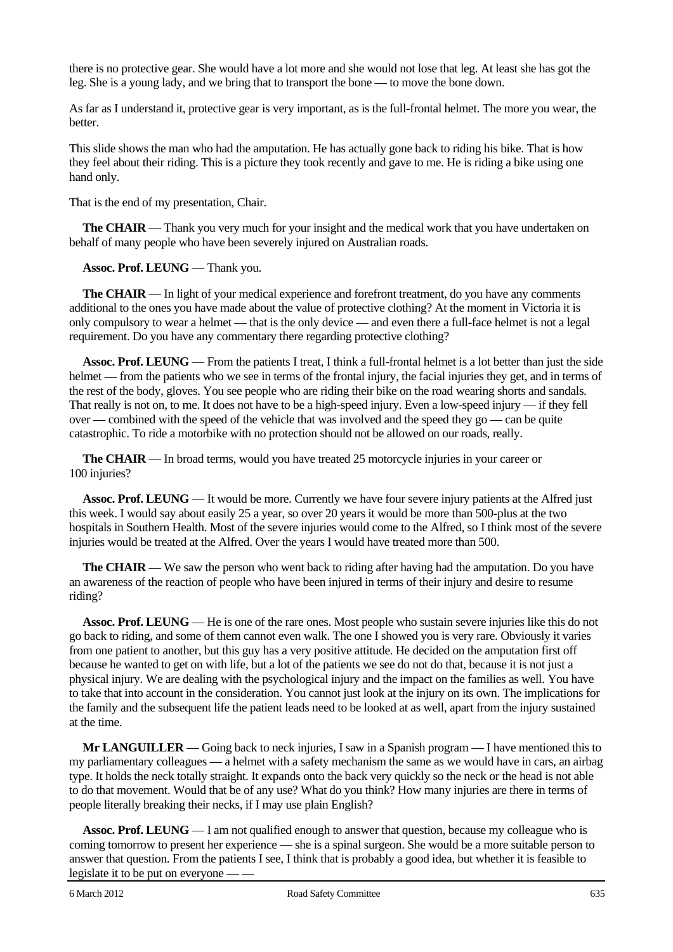there is no protective gear. She would have a lot more and she would not lose that leg. At least she has got the leg. She is a young lady, and we bring that to transport the bone — to move the bone down.

As far as I understand it, protective gear is very important, as is the full-frontal helmet. The more you wear, the better.

This slide shows the man who had the amputation. He has actually gone back to riding his bike. That is how they feel about their riding. This is a picture they took recently and gave to me. He is riding a bike using one hand only.

That is the end of my presentation, Chair.

**The CHAIR** — Thank you very much for your insight and the medical work that you have undertaken on behalf of many people who have been severely injured on Australian roads.

**Assoc. Prof. LEUNG** — Thank you.

**The CHAIR** — In light of your medical experience and forefront treatment, do you have any comments additional to the ones you have made about the value of protective clothing? At the moment in Victoria it is only compulsory to wear a helmet — that is the only device — and even there a full-face helmet is not a legal requirement. Do you have any commentary there regarding protective clothing?

**Assoc. Prof. LEUNG** — From the patients I treat, I think a full-frontal helmet is a lot better than just the side helmet — from the patients who we see in terms of the frontal injury, the facial injuries they get, and in terms of the rest of the body, gloves. You see people who are riding their bike on the road wearing shorts and sandals. That really is not on, to me. It does not have to be a high-speed injury. Even a low-speed injury — if they fell over — combined with the speed of the vehicle that was involved and the speed they go — can be quite catastrophic. To ride a motorbike with no protection should not be allowed on our roads, really.

**The CHAIR** — In broad terms, would you have treated 25 motorcycle injuries in your career or 100 injuries?

**Assoc. Prof. LEUNG** — It would be more. Currently we have four severe injury patients at the Alfred just this week. I would say about easily 25 a year, so over 20 years it would be more than 500-plus at the two hospitals in Southern Health. Most of the severe injuries would come to the Alfred, so I think most of the severe injuries would be treated at the Alfred. Over the years I would have treated more than 500.

**The CHAIR** — We saw the person who went back to riding after having had the amputation. Do you have an awareness of the reaction of people who have been injured in terms of their injury and desire to resume riding?

**Assoc. Prof. LEUNG** — He is one of the rare ones. Most people who sustain severe injuries like this do not go back to riding, and some of them cannot even walk. The one I showed you is very rare. Obviously it varies from one patient to another, but this guy has a very positive attitude. He decided on the amputation first off because he wanted to get on with life, but a lot of the patients we see do not do that, because it is not just a physical injury. We are dealing with the psychological injury and the impact on the families as well. You have to take that into account in the consideration. You cannot just look at the injury on its own. The implications for the family and the subsequent life the patient leads need to be looked at as well, apart from the injury sustained at the time.

**Mr LANGUILLER** — Going back to neck injuries, I saw in a Spanish program — I have mentioned this to my parliamentary colleagues — a helmet with a safety mechanism the same as we would have in cars, an airbag type. It holds the neck totally straight. It expands onto the back very quickly so the neck or the head is not able to do that movement. Would that be of any use? What do you think? How many injuries are there in terms of people literally breaking their necks, if I may use plain English?

**Assoc. Prof. LEUNG** — I am not qualified enough to answer that question, because my colleague who is coming tomorrow to present her experience — she is a spinal surgeon. She would be a more suitable person to answer that question. From the patients I see, I think that is probably a good idea, but whether it is feasible to legislate it to be put on everyone -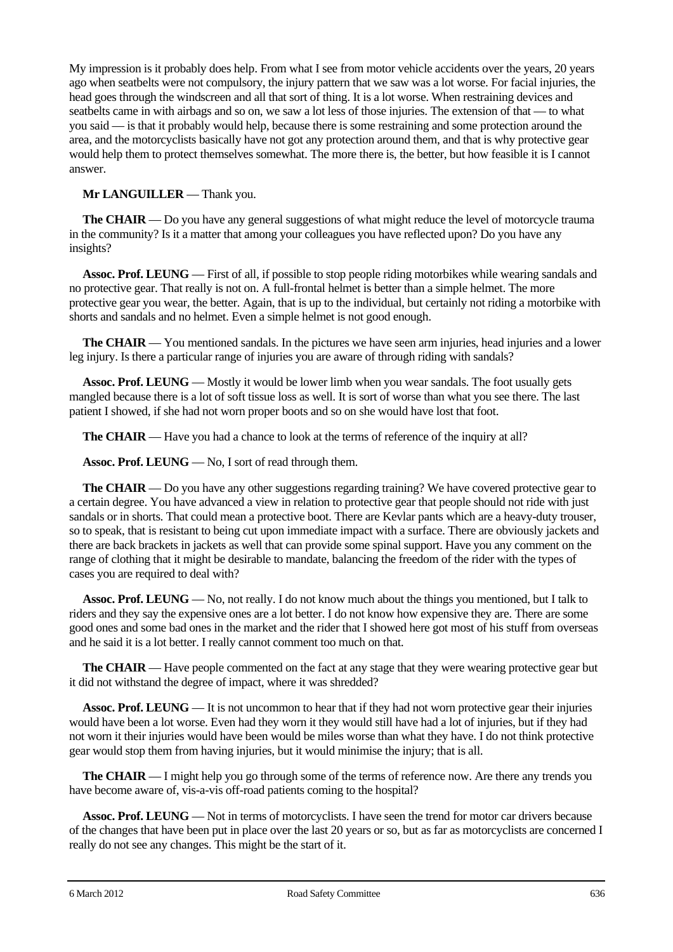My impression is it probably does help. From what I see from motor vehicle accidents over the years, 20 years ago when seatbelts were not compulsory, the injury pattern that we saw was a lot worse. For facial injuries, the head goes through the windscreen and all that sort of thing. It is a lot worse. When restraining devices and seatbelts came in with airbags and so on, we saw a lot less of those injuries. The extension of that — to what you said — is that it probably would help, because there is some restraining and some protection around the area, and the motorcyclists basically have not got any protection around them, and that is why protective gear would help them to protect themselves somewhat. The more there is, the better, but how feasible it is I cannot answer.

### **Mr LANGUILLER** — Thank you.

**The CHAIR** — Do you have any general suggestions of what might reduce the level of motorcycle trauma in the community? Is it a matter that among your colleagues you have reflected upon? Do you have any insights?

**Assoc. Prof. LEUNG** — First of all, if possible to stop people riding motorbikes while wearing sandals and no protective gear. That really is not on. A full-frontal helmet is better than a simple helmet. The more protective gear you wear, the better. Again, that is up to the individual, but certainly not riding a motorbike with shorts and sandals and no helmet. Even a simple helmet is not good enough.

**The CHAIR** — You mentioned sandals. In the pictures we have seen arm injuries, head injuries and a lower leg injury. Is there a particular range of injuries you are aware of through riding with sandals?

**Assoc. Prof. LEUNG** — Mostly it would be lower limb when you wear sandals. The foot usually gets mangled because there is a lot of soft tissue loss as well. It is sort of worse than what you see there. The last patient I showed, if she had not worn proper boots and so on she would have lost that foot.

**The CHAIR** — Have you had a chance to look at the terms of reference of the inquiry at all?

**Assoc. Prof. LEUNG** — No, I sort of read through them.

**The CHAIR** — Do you have any other suggestions regarding training? We have covered protective gear to a certain degree. You have advanced a view in relation to protective gear that people should not ride with just sandals or in shorts. That could mean a protective boot. There are Kevlar pants which are a heavy-duty trouser, so to speak, that is resistant to being cut upon immediate impact with a surface. There are obviously jackets and there are back brackets in jackets as well that can provide some spinal support. Have you any comment on the range of clothing that it might be desirable to mandate, balancing the freedom of the rider with the types of cases you are required to deal with?

**Assoc. Prof. LEUNG** — No, not really. I do not know much about the things you mentioned, but I talk to riders and they say the expensive ones are a lot better. I do not know how expensive they are. There are some good ones and some bad ones in the market and the rider that I showed here got most of his stuff from overseas and he said it is a lot better. I really cannot comment too much on that.

**The CHAIR** — Have people commented on the fact at any stage that they were wearing protective gear but it did not withstand the degree of impact, where it was shredded?

**Assoc. Prof. LEUNG** — It is not uncommon to hear that if they had not worn protective gear their injuries would have been a lot worse. Even had they worn it they would still have had a lot of injuries, but if they had not worn it their injuries would have been would be miles worse than what they have. I do not think protective gear would stop them from having injuries, but it would minimise the injury; that is all.

**The CHAIR** — I might help you go through some of the terms of reference now. Are there any trends you have become aware of, vis-a-vis off-road patients coming to the hospital?

**Assoc. Prof. LEUNG** — Not in terms of motorcyclists. I have seen the trend for motor car drivers because of the changes that have been put in place over the last 20 years or so, but as far as motorcyclists are concerned I really do not see any changes. This might be the start of it.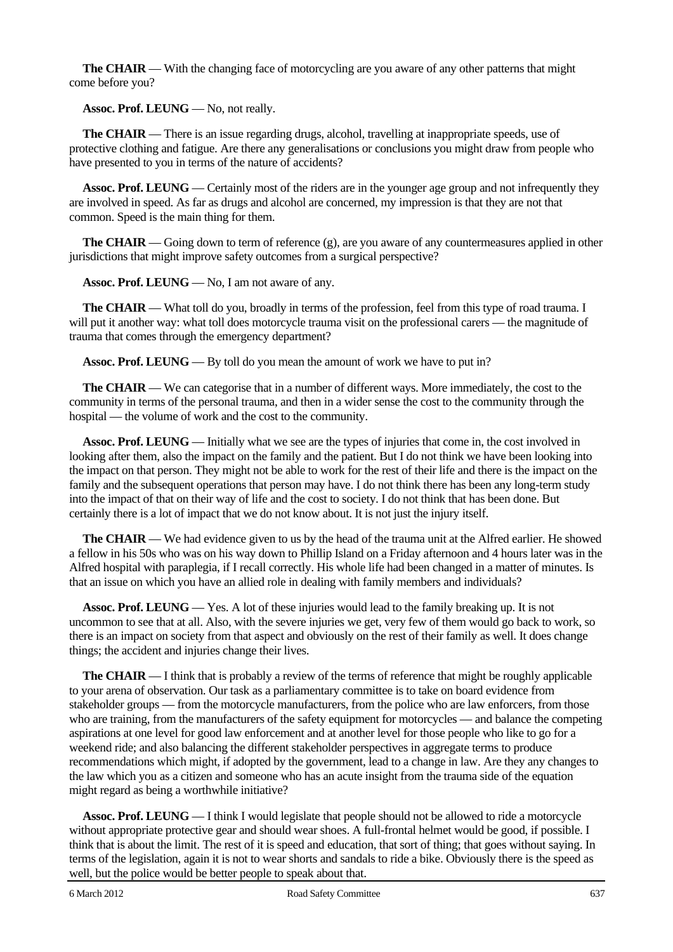**The CHAIR** — With the changing face of motorcycling are you aware of any other patterns that might come before you?

**Assoc. Prof. LEUNG** — No, not really.

**The CHAIR** — There is an issue regarding drugs, alcohol, travelling at inappropriate speeds, use of protective clothing and fatigue. Are there any generalisations or conclusions you might draw from people who have presented to you in terms of the nature of accidents?

**Assoc. Prof. LEUNG** — Certainly most of the riders are in the younger age group and not infrequently they are involved in speed. As far as drugs and alcohol are concerned, my impression is that they are not that common. Speed is the main thing for them.

**The CHAIR** — Going down to term of reference (g), are you aware of any countermeasures applied in other jurisdictions that might improve safety outcomes from a surgical perspective?

**Assoc. Prof. LEUNG** — No, I am not aware of any.

**The CHAIR** — What toll do you, broadly in terms of the profession, feel from this type of road trauma. I will put it another way: what toll does motorcycle trauma visit on the professional carers — the magnitude of trauma that comes through the emergency department?

**Assoc. Prof. LEUNG** — By toll do you mean the amount of work we have to put in?

**The CHAIR** — We can categorise that in a number of different ways. More immediately, the cost to the community in terms of the personal trauma, and then in a wider sense the cost to the community through the hospital — the volume of work and the cost to the community.

**Assoc. Prof. LEUNG** — Initially what we see are the types of injuries that come in, the cost involved in looking after them, also the impact on the family and the patient. But I do not think we have been looking into the impact on that person. They might not be able to work for the rest of their life and there is the impact on the family and the subsequent operations that person may have. I do not think there has been any long-term study into the impact of that on their way of life and the cost to society. I do not think that has been done. But certainly there is a lot of impact that we do not know about. It is not just the injury itself.

**The CHAIR** — We had evidence given to us by the head of the trauma unit at the Alfred earlier. He showed a fellow in his 50s who was on his way down to Phillip Island on a Friday afternoon and 4 hours later was in the Alfred hospital with paraplegia, if I recall correctly. His whole life had been changed in a matter of minutes. Is that an issue on which you have an allied role in dealing with family members and individuals?

**Assoc. Prof. LEUNG** — Yes. A lot of these injuries would lead to the family breaking up. It is not uncommon to see that at all. Also, with the severe injuries we get, very few of them would go back to work, so there is an impact on society from that aspect and obviously on the rest of their family as well. It does change things; the accident and injuries change their lives.

**The CHAIR** — I think that is probably a review of the terms of reference that might be roughly applicable to your arena of observation. Our task as a parliamentary committee is to take on board evidence from stakeholder groups — from the motorcycle manufacturers, from the police who are law enforcers, from those who are training, from the manufacturers of the safety equipment for motorcycles — and balance the competing aspirations at one level for good law enforcement and at another level for those people who like to go for a weekend ride; and also balancing the different stakeholder perspectives in aggregate terms to produce recommendations which might, if adopted by the government, lead to a change in law. Are they any changes to the law which you as a citizen and someone who has an acute insight from the trauma side of the equation might regard as being a worthwhile initiative?

**Assoc. Prof. LEUNG** — I think I would legislate that people should not be allowed to ride a motorcycle without appropriate protective gear and should wear shoes. A full-frontal helmet would be good, if possible. I think that is about the limit. The rest of it is speed and education, that sort of thing; that goes without saying. In terms of the legislation, again it is not to wear shorts and sandals to ride a bike. Obviously there is the speed as well, but the police would be better people to speak about that.